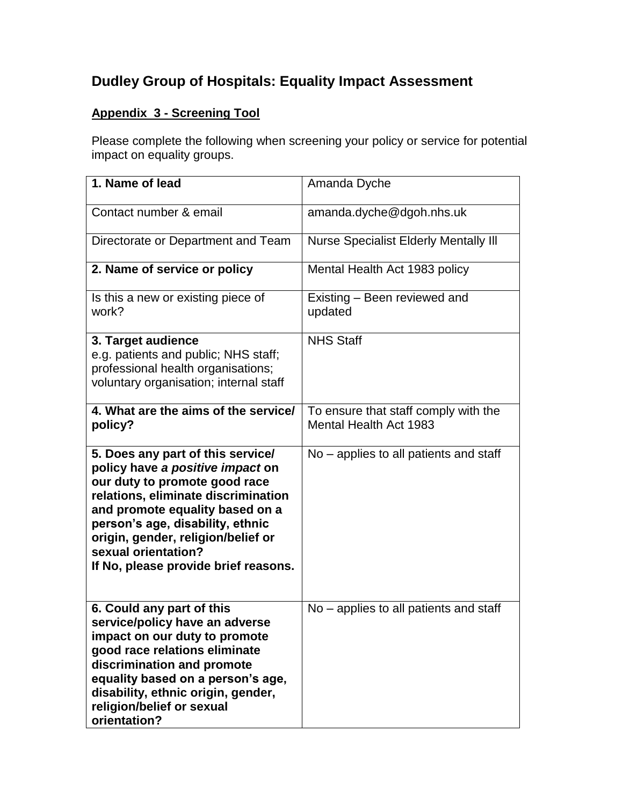## **Dudley Group of Hospitals: Equality Impact Assessment**

## **Appendix 3 - Screening Tool**

Please complete the following when screening your policy or service for potential impact on equality groups.

| 1. Name of lead                                                                                                                                                                                                                                                                                                           | Amanda Dyche                                                   |
|---------------------------------------------------------------------------------------------------------------------------------------------------------------------------------------------------------------------------------------------------------------------------------------------------------------------------|----------------------------------------------------------------|
| Contact number & email                                                                                                                                                                                                                                                                                                    | amanda.dyche@dgoh.nhs.uk                                       |
| Directorate or Department and Team                                                                                                                                                                                                                                                                                        | <b>Nurse Specialist Elderly Mentally III</b>                   |
| 2. Name of service or policy                                                                                                                                                                                                                                                                                              | Mental Health Act 1983 policy                                  |
| Is this a new or existing piece of<br>work?                                                                                                                                                                                                                                                                               | Existing – Been reviewed and<br>updated                        |
| 3. Target audience<br>e.g. patients and public; NHS staff;<br>professional health organisations;<br>voluntary organisation; internal staff                                                                                                                                                                                | <b>NHS Staff</b>                                               |
| 4. What are the aims of the service/<br>policy?                                                                                                                                                                                                                                                                           | To ensure that staff comply with the<br>Mental Health Act 1983 |
| 5. Does any part of this service/<br>policy have a positive impact on<br>our duty to promote good race<br>relations, eliminate discrimination<br>and promote equality based on a<br>person's age, disability, ethnic<br>origin, gender, religion/belief or<br>sexual orientation?<br>If No, please provide brief reasons. | No - applies to all patients and staff                         |
| 6. Could any part of this<br>service/policy have an adverse<br>impact on our duty to promote<br>good race relations eliminate<br>discrimination and promote<br>equality based on a person's age,<br>disability, ethnic origin, gender,<br>religion/belief or sexual<br>orientation?                                       | No - applies to all patients and staff                         |